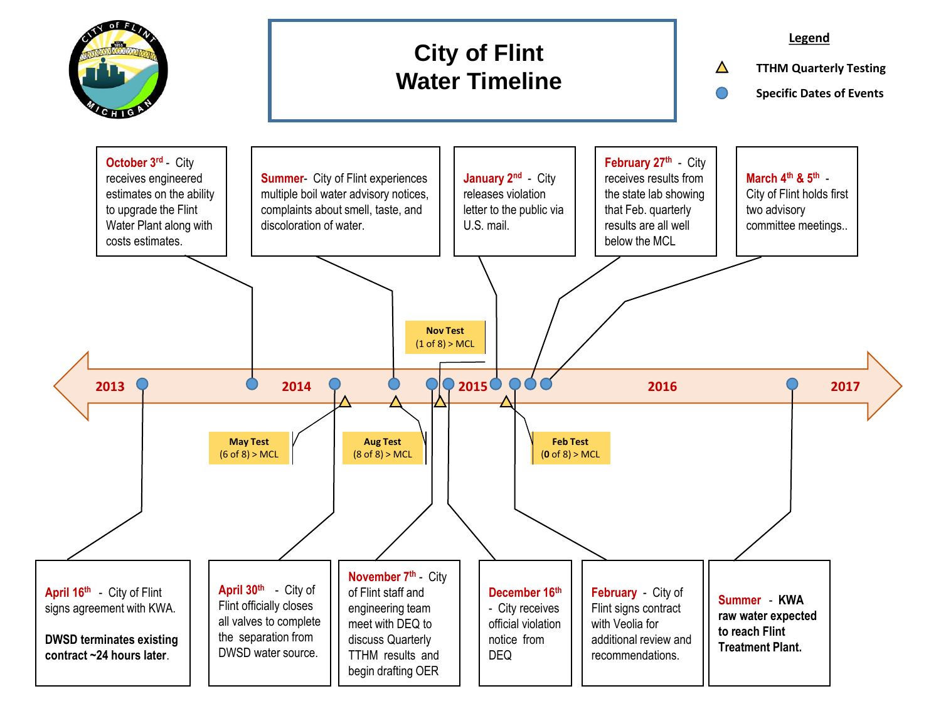